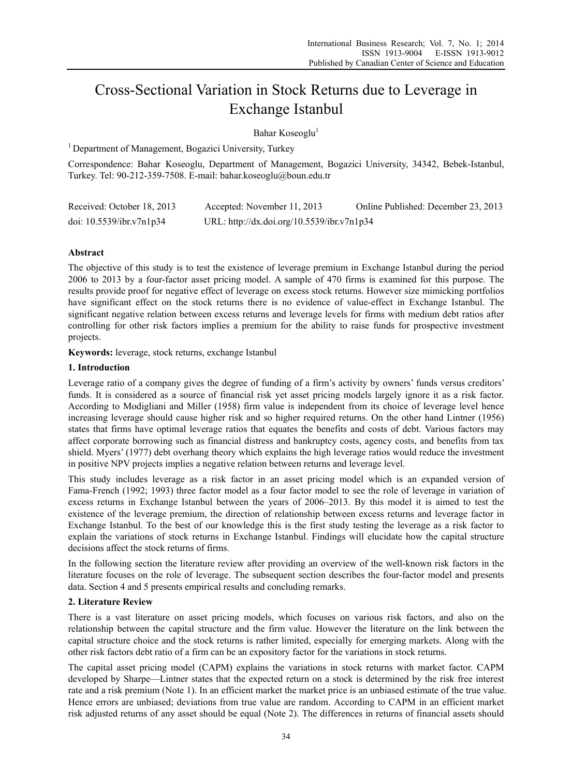# Cross-Sectional Variation in Stock Returns due to Leverage in Exchange Istanbul

Bahar Koseoglu<sup>1</sup>

<sup>1</sup> Department of Management, Bogazici University, Turkey

Correspondence: Bahar Koseoglu, Department of Management, Bogazici University, 34342, Bebek-Istanbul, Turkey. Tel: 90-212-359-7508. E-mail: bahar.koseoglu@boun.edu.tr

| Received: October 18, 2013  | Accepted: November 11, 2013                | Online Published: December 23, 2013 |
|-----------------------------|--------------------------------------------|-------------------------------------|
| doi: $10.5539$ /ibr.v7n1p34 | URL: http://dx.doi.org/10.5539/ibr.v7n1p34 |                                     |

# **Abstract**

The objective of this study is to test the existence of leverage premium in Exchange Istanbul during the period 2006 to 2013 by a four-factor asset pricing model. A sample of 470 firms is examined for this purpose. The results provide proof for negative effect of leverage on excess stock returns. However size mimicking portfolios have significant effect on the stock returns there is no evidence of value-effect in Exchange Istanbul. The significant negative relation between excess returns and leverage levels for firms with medium debt ratios after controlling for other risk factors implies a premium for the ability to raise funds for prospective investment projects.

**Keywords:** leverage, stock returns, exchange Istanbul

# **1. Introduction**

Leverage ratio of a company gives the degree of funding of a firm's activity by owners' funds versus creditors' funds. It is considered as a source of financial risk yet asset pricing models largely ignore it as a risk factor. According to Modigliani and Miller (1958) firm value is independent from its choice of leverage level hence increasing leverage should cause higher risk and so higher required returns. On the other hand Lintner (1956) states that firms have optimal leverage ratios that equates the benefits and costs of debt. Various factors may affect corporate borrowing such as financial distress and bankruptcy costs, agency costs, and benefits from tax shield. Myers' (1977) debt overhang theory which explains the high leverage ratios would reduce the investment in positive NPV projects implies a negative relation between returns and leverage level.

This study includes leverage as a risk factor in an asset pricing model which is an expanded version of Fama-French (1992; 1993) three factor model as a four factor model to see the role of leverage in variation of excess returns in Exchange Istanbul between the years of 2006–2013. By this model it is aimed to test the existence of the leverage premium, the direction of relationship between excess returns and leverage factor in Exchange Istanbul. To the best of our knowledge this is the first study testing the leverage as a risk factor to explain the variations of stock returns in Exchange Istanbul. Findings will elucidate how the capital structure decisions affect the stock returns of firms.

In the following section the literature review after providing an overview of the well-known risk factors in the literature focuses on the role of leverage. The subsequent section describes the four-factor model and presents data. Section 4 and 5 presents empirical results and concluding remarks.

## **2. Literature Review**

There is a vast literature on asset pricing models, which focuses on various risk factors, and also on the relationship between the capital structure and the firm value. However the literature on the link between the capital structure choice and the stock returns is rather limited, especially for emerging markets. Along with the other risk factors debt ratio of a firm can be an expository factor for the variations in stock returns.

The capital asset pricing model (CAPM) explains the variations in stock returns with market factor. CAPM developed by Sharpe—Lintner states that the expected return on a stock is determined by the risk free interest rate and a risk premium (Note 1). In an efficient market the market price is an unbiased estimate of the true value. Hence errors are unbiased; deviations from true value are random. According to CAPM in an efficient market risk adjusted returns of any asset should be equal (Note 2). The differences in returns of financial assets should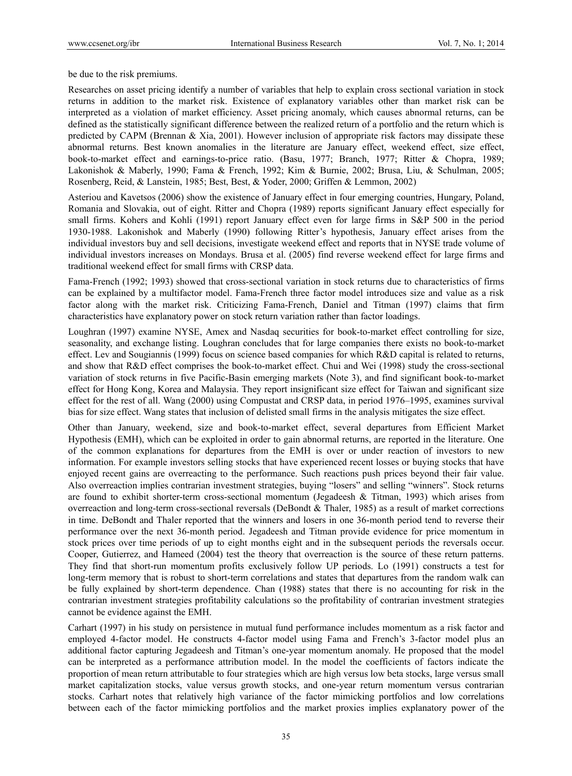be due to the risk premiums.

Researches on asset pricing identify a number of variables that help to explain cross sectional variation in stock returns in addition to the market risk. Existence of explanatory variables other than market risk can be interpreted as a violation of market efficiency. Asset pricing anomaly, which causes abnormal returns, can be defined as the statistically significant difference between the realized return of a portfolio and the return which is predicted by CAPM (Brennan  $\&$  Xia, 2001). However inclusion of appropriate risk factors may dissipate these abnormal returns. Best known anomalies in the literature are January effect, weekend effect, size effect, book-to-market effect and earnings-to-price ratio. (Basu, 1977; Branch, 1977; Ritter & Chopra, 1989; Lakonishok & Maberly, 1990; Fama & French, 1992; Kim & Burnie, 2002; Brusa, Liu, & Schulman, 2005; Rosenberg, Reid, & Lanstein, 1985; Best, Best, & Yoder, 2000; Griffen & Lemmon, 2002)

Asteriou and Kavetsos (2006) show the existence of January effect in four emerging countries, Hungary, Poland, Romania and Slovakia, out of eight. Ritter and Chopra (1989) reports significant January effect especially for small firms. Kohers and Kohli (1991) report January effect even for large firms in S&P 500 in the period 1930-1988. Lakonishok and Maberly (1990) following Ritter's hypothesis, January effect arises from the individual investors buy and sell decisions, investigate weekend effect and reports that in NYSE trade volume of individual investors increases on Mondays. Brusa et al. (2005) find reverse weekend effect for large firms and traditional weekend effect for small firms with CRSP data.

Fama-French (1992; 1993) showed that cross-sectional variation in stock returns due to characteristics of firms can be explained by a multifactor model. Fama-French three factor model introduces size and value as a risk factor along with the market risk. Criticizing Fama-French, Daniel and Titman (1997) claims that firm characteristics have explanatory power on stock return variation rather than factor loadings.

Loughran (1997) examine NYSE, Amex and Nasdaq securities for book-to-market effect controlling for size, seasonality, and exchange listing. Loughran concludes that for large companies there exists no book-to-market effect. Lev and Sougiannis (1999) focus on science based companies for which R&D capital is related to returns, and show that R&D effect comprises the book-to-market effect. Chui and Wei (1998) study the cross-sectional variation of stock returns in five Pacific-Basin emerging markets (Note 3), and find significant book-to-market effect for Hong Kong, Korea and Malaysia. They report insignificant size effect for Taiwan and significant size effect for the rest of all. Wang (2000) using Compustat and CRSP data, in period 1976–1995, examines survival bias for size effect. Wang states that inclusion of delisted small firms in the analysis mitigates the size effect.

Other than January, weekend, size and book-to-market effect, several departures from Efficient Market Hypothesis (EMH), which can be exploited in order to gain abnormal returns, are reported in the literature. One of the common explanations for departures from the EMH is over or under reaction of investors to new information. For example investors selling stocks that have experienced recent losses or buying stocks that have enjoyed recent gains are overreacting to the performance. Such reactions push prices beyond their fair value. Also overreaction implies contrarian investment strategies, buying "losers" and selling "winners". Stock returns are found to exhibit shorter-term cross-sectional momentum (Jegadeesh  $\&$  Titman, 1993) which arises from overreaction and long-term cross-sectional reversals (DeBondt & Thaler, 1985) as a result of market corrections in time. DeBondt and Thaler reported that the winners and losers in one 36-month period tend to reverse their performance over the next 36-month period. Jegadeesh and Titman provide evidence for price momentum in stock prices over time periods of up to eight months eight and in the subsequent periods the reversals occur. Cooper, Gutierrez, and Hameed (2004) test the theory that overreaction is the source of these return patterns. They find that short-run momentum profits exclusively follow UP periods. Lo (1991) constructs a test for long-term memory that is robust to short-term correlations and states that departures from the random walk can be fully explained by short-term dependence. Chan (1988) states that there is no accounting for risk in the contrarian investment strategies profitability calculations so the profitability of contrarian investment strategies cannot be evidence against the EMH.

Carhart (1997) in his study on persistence in mutual fund performance includes momentum as a risk factor and employed 4-factor model. He constructs 4-factor model using Fama and French's 3-factor model plus an additional factor capturing Jegadeesh and Titman's one-year momentum anomaly. He proposed that the model can be interpreted as a performance attribution model. In the model the coefficients of factors indicate the proportion of mean return attributable to four strategies which are high versus low beta stocks, large versus small market capitalization stocks, value versus growth stocks, and one-year return momentum versus contrarian stocks. Carhart notes that relatively high variance of the factor mimicking portfolios and low correlations between each of the factor mimicking portfolios and the market proxies implies explanatory power of the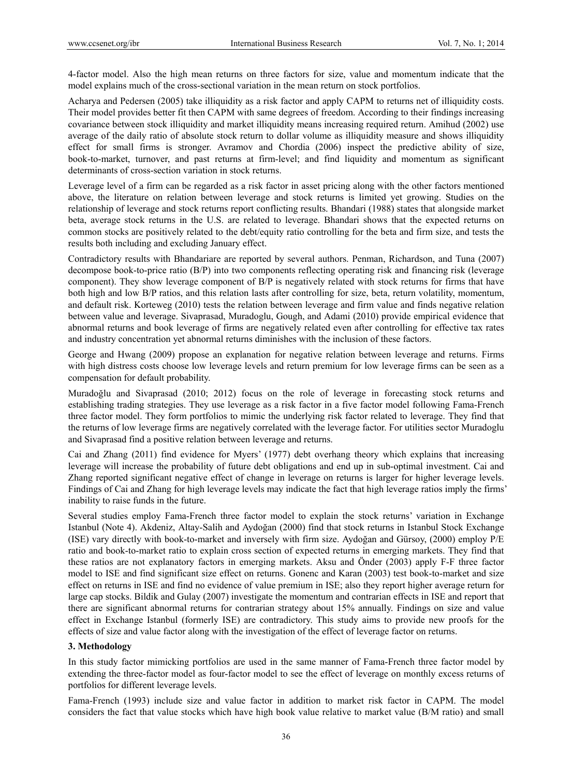4-factor model. Also the high mean returns on three factors for size, value and momentum indicate that the model explains much of the cross-sectional variation in the mean return on stock portfolios.

Acharya and Pedersen (2005) take illiquidity as a risk factor and apply CAPM to returns net of illiquidity costs. Their model provides better fit then CAPM with same degrees of freedom. According to their findings increasing covariance between stock illiquidity and market illiquidity means increasing required return. Amihud (2002) use average of the daily ratio of absolute stock return to dollar volume as illiquidity measure and shows illiquidity effect for small firms is stronger. Avramov and Chordia (2006) inspect the predictive ability of size, book-to-market, turnover, and past returns at firm-level; and find liquidity and momentum as significant determinants of cross-section variation in stock returns.

Leverage level of a firm can be regarded as a risk factor in asset pricing along with the other factors mentioned above, the literature on relation between leverage and stock returns is limited yet growing. Studies on the relationship of leverage and stock returns report conflicting results. Bhandari (1988) states that alongside market beta, average stock returns in the U.S. are related to leverage. Bhandari shows that the expected returns on common stocks are positively related to the debt/equity ratio controlling for the beta and firm size, and tests the results both including and excluding January effect.

Contradictory results with Bhandariare are reported by several authors. Penman, Richardson, and Tuna (2007) decompose book-to-price ratio (B/P) into two components reflecting operating risk and financing risk (leverage component). They show leverage component of B/P is negatively related with stock returns for firms that have both high and low B/P ratios, and this relation lasts after controlling for size, beta, return volatility, momentum, and default risk. Korteweg (2010) tests the relation between leverage and firm value and finds negative relation between value and leverage. Sivaprasad, Muradoglu, Gough, and Adami (2010) provide empirical evidence that abnormal returns and book leverage of firms are negatively related even after controlling for effective tax rates and industry concentration yet abnormal returns diminishes with the inclusion of these factors.

George and Hwang (2009) propose an explanation for negative relation between leverage and returns. Firms with high distress costs choose low leverage levels and return premium for low leverage firms can be seen as a compensation for default probability.

Muradoğlu and Sivaprasad (2010; 2012) focus on the role of leverage in forecasting stock returns and establishing trading strategies. They use leverage as a risk factor in a five factor model following Fama-French three factor model. They form portfolios to mimic the underlying risk factor related to leverage. They find that the returns of low leverage firms are negatively correlated with the leverage factor. For utilities sector Muradoglu and Sivaprasad find a positive relation between leverage and returns.

Cai and Zhang (2011) find evidence for Myers' (1977) debt overhang theory which explains that increasing leverage will increase the probability of future debt obligations and end up in sub-optimal investment. Cai and Zhang reported significant negative effect of change in leverage on returns is larger for higher leverage levels. Findings of Cai and Zhang for high leverage levels may indicate the fact that high leverage ratios imply the firms' inability to raise funds in the future.

Several studies employ Fama-French three factor model to explain the stock returns' variation in Exchange Istanbul (Note 4). Akdeniz, Altay-Salih and Aydoğan (2000) find that stock returns in Istanbul Stock Exchange (ISE) vary directly with book-to-market and inversely with firm size. Aydoğan and Gürsoy, (2000) employ P/E ratio and book-to-market ratio to explain cross section of expected returns in emerging markets. They find that these ratios are not explanatory factors in emerging markets. Aksu and Önder (2003) apply F-F three factor model to ISE and find significant size effect on returns. Gonenc and Karan (2003) test book-to-market and size effect on returns in ISE and find no evidence of value premium in ISE; also they report higher average return for large cap stocks. Bildik and Gulay (2007) investigate the momentum and contrarian effects in ISE and report that there are significant abnormal returns for contrarian strategy about 15% annually. Findings on size and value effect in Exchange Istanbul (formerly ISE) are contradictory. This study aims to provide new proofs for the effects of size and value factor along with the investigation of the effect of leverage factor on returns.

## **3. Methodology**

In this study factor mimicking portfolios are used in the same manner of Fama-French three factor model by extending the three-factor model as four-factor model to see the effect of leverage on monthly excess returns of portfolios for different leverage levels.

Fama-French (1993) include size and value factor in addition to market risk factor in CAPM. The model considers the fact that value stocks which have high book value relative to market value (B/M ratio) and small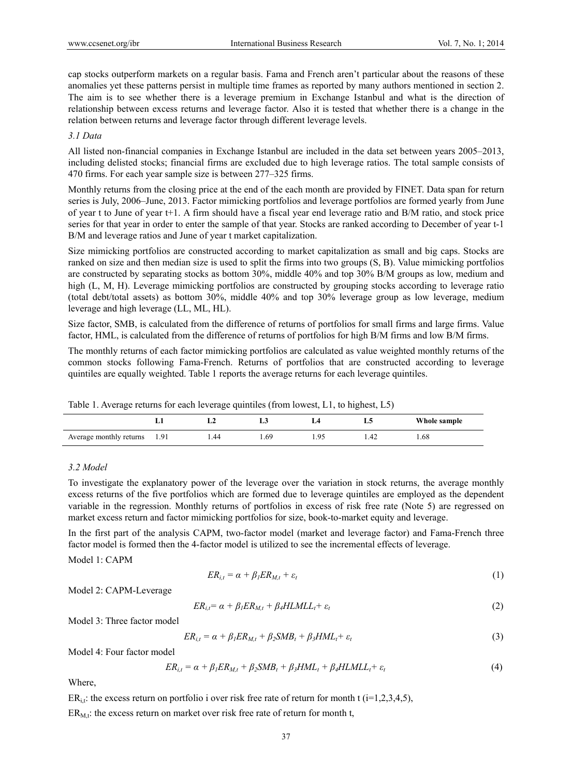cap stocks outperform markets on a regular basis. Fama and French aren't particular about the reasons of these anomalies yet these patterns persist in multiple time frames as reported by many authors mentioned in section 2. The aim is to see whether there is a leverage premium in Exchange Istanbul and what is the direction of relationship between excess returns and leverage factor. Also it is tested that whether there is a change in the relation between returns and leverage factor through different leverage levels.

# *3.1 Data*

All listed non-financial companies in Exchange Istanbul are included in the data set between years 2005–2013, including delisted stocks; financial firms are excluded due to high leverage ratios. The total sample consists of 470 firms. For each year sample size is between 277–325 firms.

Monthly returns from the closing price at the end of the each month are provided by FINET. Data span for return series is July, 2006–June, 2013. Factor mimicking portfolios and leverage portfolios are formed yearly from June of year t to June of year t+1. A firm should have a fiscal year end leverage ratio and B/M ratio, and stock price series for that year in order to enter the sample of that year. Stocks are ranked according to December of year t-1 B/M and leverage ratios and June of year t market capitalization.

Size mimicking portfolios are constructed according to market capitalization as small and big caps. Stocks are ranked on size and then median size is used to split the firms into two groups (S, B). Value mimicking portfolios are constructed by separating stocks as bottom 30%, middle 40% and top 30% B/M groups as low, medium and high (L, M, H). Leverage mimicking portfolios are constructed by grouping stocks according to leverage ratio (total debt/total assets) as bottom 30%, middle 40% and top 30% leverage group as low leverage, medium leverage and high leverage (LL, ML, HL).

Size factor, SMB, is calculated from the difference of returns of portfolios for small firms and large firms. Value factor, HML, is calculated from the difference of returns of portfolios for high B/M firms and low B/M firms.

The monthly returns of each factor mimicking portfolios are calculated as value weighted monthly returns of the common stocks following Fama-French. Returns of portfolios that are constructed according to leverage quintiles are equally weighted. Table 1 reports the average returns for each leverage quintiles.

|  |  | Table 1. Average returns for each leverage quintiles (from lowest, L1, to highest, L5) |  |
|--|--|----------------------------------------------------------------------------------------|--|
|  |  |                                                                                        |  |

|                              | متعاصف | ⊷     |          | LG.  | Whole sample |
|------------------------------|--------|-------|----------|------|--------------|
| Average monthly returns 1.91 | 1.44   | . .69 | $\Omega$ | 1.42 | . 68         |

# *3.2 Model*

To investigate the explanatory power of the leverage over the variation in stock returns, the average monthly excess returns of the five portfolios which are formed due to leverage quintiles are employed as the dependent variable in the regression. Monthly returns of portfolios in excess of risk free rate (Note 5) are regressed on market excess return and factor mimicking portfolios for size, book-to-market equity and leverage.

In the first part of the analysis CAPM, two-factor model (market and leverage factor) and Fama-French three factor model is formed then the 4-factor model is utilized to see the incremental effects of leverage.

Model 1: CAPM

$$
ER_{i,t} = \alpha + \beta_l ER_{M,t} + \varepsilon_t \tag{1}
$$

Model 2: CAPM-Leverage

$$
ER_{i,t} = \alpha + \beta_1 ER_{M,t} + \beta_4 H L M L L_t + \varepsilon_t \tag{2}
$$

Model 3: Three factor model

$$
ER_{i,t} = \alpha + \beta_1 ER_{M,t} + \beta_2 SMB_t + \beta_3 HML_t + \varepsilon_t
$$
\n(3)

Model 4: Four factor model

$$
ER_{i,t} = \alpha + \beta_1 ER_{M,t} + \beta_2 SMB_t + \beta_3 HML_t + \beta_4 HLML_t + \varepsilon_t
$$
\n(4)

Where,

 $ER_{i,t}$ : the excess return on portfolio i over risk free rate of return for month t (i=1,2,3,4,5),

 $ER_{M,t}$ : the excess return on market over risk free rate of return for month t,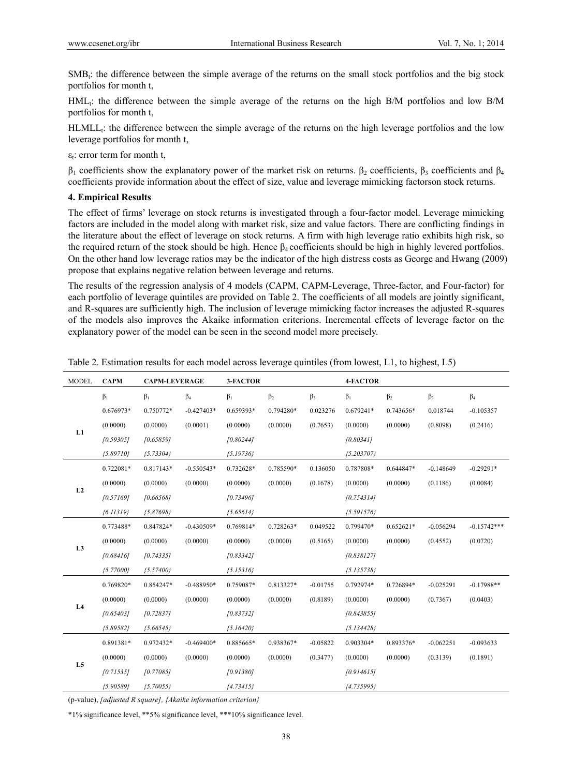$SMB<sub>t</sub>$ : the difference between the simple average of the returns on the small stock portfolios and the big stock portfolios for month t,

HMLt: the difference between the simple average of the returns on the high B/M portfolios and low B/M portfolios for month t,

HLMLL<sub>i</sub>: the difference between the simple average of the returns on the high leverage portfolios and the low leverage portfolios for month t,

 $\varepsilon$ <sub>t</sub>: error term for month t,

 $β_1$  coefficients show the explanatory power of the market risk on returns. β<sub>2</sub> coefficients, β<sub>3</sub> coefficients and β<sub>4</sub> coefficients provide information about the effect of size, value and leverage mimicking factorson stock returns.

# **4. Empirical Results**

The effect of firms' leverage on stock returns is investigated through a four-factor model. Leverage mimicking factors are included in the model along with market risk, size and value factors. There are conflicting findings in the literature about the effect of leverage on stock returns. A firm with high leverage ratio exhibits high risk, so the required return of the stock should be high. Hence  $\beta_4$  coefficients should be high in highly levered portfolios. On the other hand low leverage ratios may be the indicator of the high distress costs as George and Hwang (2009) propose that explains negative relation between leverage and returns.

The results of the regression analysis of 4 models (CAPM, CAPM-Leverage, Three-factor, and Four-factor) for each portfolio of leverage quintiles are provided on Table 2. The coefficients of all models are jointly significant, and R-squares are sufficiently high. The inclusion of leverage mimicking factor increases the adjusted R-squares of the models also improves the Akaike information criterions. Incremental effects of leverage factor on the explanatory power of the model can be seen in the second model more precisely.

| <b>MODEL</b>   | <b>CAPM</b>   | 3-FACTOR<br><b>CAPM-LEVERAGE</b> |              |               | 4-FACTOR  |            |              |             |             |               |
|----------------|---------------|----------------------------------|--------------|---------------|-----------|------------|--------------|-------------|-------------|---------------|
|                | $\beta_1$     | $\beta_1$                        | $\beta_4$    | $\beta_1$     | $\beta_2$ | $\beta_3$  | $\beta_1$    | $\beta_2$   | $\beta_3$   | $\beta_4$     |
| L1             | 0.676973*     | 0.750772*                        | $-0.427403*$ | 0.659393*     | 0.794280* | 0.023276   | $0.679241*$  | 0.743656*   | 0.018744    | $-0.105357$   |
|                | (0.0000)      | (0.0000)                         | (0.0001)     | (0.0000)      | (0.0000)  | (0.7653)   | (0.0000)     | (0.0000)    | (0.8098)    | (0.2416)      |
|                | [0.59305]     | [0.65859]                        |              | [0.80244]     |           |            | [0.80341]    |             |             |               |
|                | ${5.89710}$   | ${5.73304}$                      |              | $\{5.19736\}$ |           |            | ${5.203707}$ |             |             |               |
| L2             | 0.722081*     | 0.817143*                        | $-0.550543*$ | 0.732628*     | 0.785590* | 0.136050   | 0.787808*    | 0.644847*   | $-0.148649$ | $-0.29291*$   |
|                | (0.0000)      | (0.0000)                         | (0.0000)     | (0.0000)      | (0.0000)  | (0.1678)   | (0.0000)     | (0.0000)    | (0.1186)    | (0.0084)      |
|                | [0.57169]     | [0.66568]                        |              | [0.73496]     |           |            | [0.754314]   |             |             |               |
|                | (6.11319)     | (5.87698)                        |              | $\{5.65614\}$ |           |            | ${5.591576}$ |             |             |               |
|                | 0.773488*     | 0.847824*                        | $-0.430509*$ | 0.769814*     | 0.728263* | 0.049522   | 0.799470*    | $0.652621*$ | $-0.056294$ | $-0.15742***$ |
|                | (0.0000)      | (0.0000)                         | (0.0000)     | (0.0000)      | (0.0000)  | (0.5165)   | (0.0000)     | (0.0000)    | (0.4552)    | (0.0720)      |
| L <sub>3</sub> | [0.68416]     | [0.74335]                        |              | [0.83342]     |           |            | [0.838127]   |             |             |               |
|                | $\{5.77000\}$ | (5.57400)                        |              | $\{5.15316\}$ |           |            | ${5.135738}$ |             |             |               |
| L4             | 0.769820*     | 0.854247*                        | $-0.488950*$ | 0.759087*     | 0.813327* | $-0.01755$ | 0.792974*    | 0.726894*   | $-0.025291$ | $-0.17988**$  |
|                | (0.0000)      | (0.0000)                         | (0.0000)     | (0.0000)      | (0.0000)  | (0.8189)   | (0.0000)     | (0.0000)    | (0.7367)    | (0.0403)      |
|                | [0.65403]     | [0.72837]                        |              | [0.83732]     |           |            | [0.843855]   |             |             |               |
|                | (5.89582)     | (5.66545)                        |              | ${5.16420}$   |           |            | ${5.134428}$ |             |             |               |
| L <sub>5</sub> | 0.891381*     | 0.972432*                        | $-0.469400*$ | 0.885665*     | 0.938367* | $-0.05822$ | 0.903304*    | 0.893376*   | $-0.062251$ | $-0.093633$   |
|                | (0.0000)      | (0.0000)                         | (0.0000)     | (0.0000)      | (0.0000)  | (0.3477)   | (0.0000)     | (0.0000)    | (0.3139)    | (0.1891)      |
|                | [0.71535]     | [0.77085]                        |              | [0.91380]     |           |            | [0.914615]   |             |             |               |
|                | (5.90589)     | $\{5.70055\}$                    |              | ${4.73415}$   |           |            | ${4.735995}$ |             |             |               |

Table 2. Estimation results for each model across leverage quintiles (from lowest, L1, to highest, L5)

(p-value), *[adjusted R square], {Akaike information criterion}* 

\*1% significance level, \*\*5% significance level, \*\*\*10% significance level.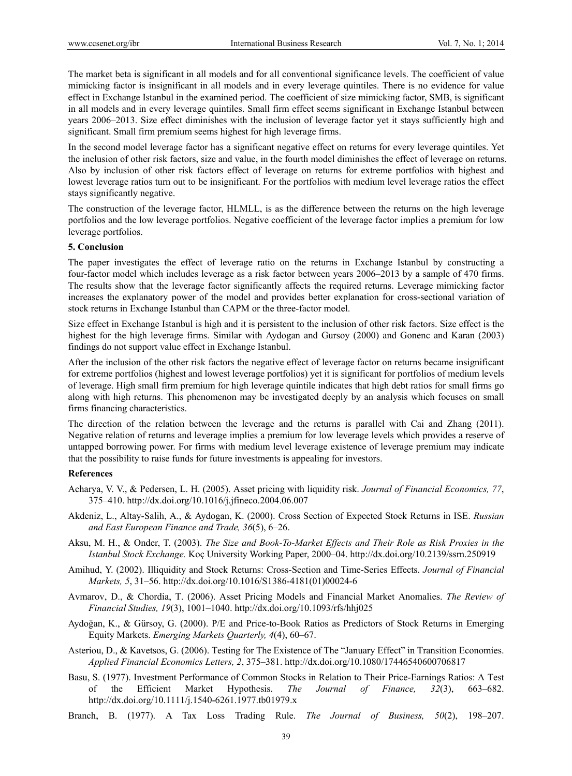The market beta is significant in all models and for all conventional significance levels. The coefficient of value mimicking factor is insignificant in all models and in every leverage quintiles. There is no evidence for value effect in Exchange Istanbul in the examined period. The coefficient of size mimicking factor, SMB, is significant in all models and in every leverage quintiles. Small firm effect seems significant in Exchange Istanbul between years 2006–2013. Size effect diminishes with the inclusion of leverage factor yet it stays sufficiently high and significant. Small firm premium seems highest for high leverage firms.

In the second model leverage factor has a significant negative effect on returns for every leverage quintiles. Yet the inclusion of other risk factors, size and value, in the fourth model diminishes the effect of leverage on returns. Also by inclusion of other risk factors effect of leverage on returns for extreme portfolios with highest and lowest leverage ratios turn out to be insignificant. For the portfolios with medium level leverage ratios the effect stays significantly negative.

The construction of the leverage factor, HLMLL, is as the difference between the returns on the high leverage portfolios and the low leverage portfolios. Negative coefficient of the leverage factor implies a premium for low leverage portfolios.

#### **5. Conclusion**

The paper investigates the effect of leverage ratio on the returns in Exchange Istanbul by constructing a four-factor model which includes leverage as a risk factor between years 2006–2013 by a sample of 470 firms. The results show that the leverage factor significantly affects the required returns. Leverage mimicking factor increases the explanatory power of the model and provides better explanation for cross-sectional variation of stock returns in Exchange Istanbul than CAPM or the three-factor model.

Size effect in Exchange Istanbul is high and it is persistent to the inclusion of other risk factors. Size effect is the highest for the high leverage firms. Similar with Aydogan and Gursoy (2000) and Gonenc and Karan (2003) findings do not support value effect in Exchange Istanbul.

After the inclusion of the other risk factors the negative effect of leverage factor on returns became insignificant for extreme portfolios (highest and lowest leverage portfolios) yet it is significant for portfolios of medium levels of leverage. High small firm premium for high leverage quintile indicates that high debt ratios for small firms go along with high returns. This phenomenon may be investigated deeply by an analysis which focuses on small firms financing characteristics.

The direction of the relation between the leverage and the returns is parallel with Cai and Zhang (2011). Negative relation of returns and leverage implies a premium for low leverage levels which provides a reserve of untapped borrowing power. For firms with medium level leverage existence of leverage premium may indicate that the possibility to raise funds for future investments is appealing for investors.

#### **References**

- Acharya, V. V., & Pedersen, L. H. (2005). Asset pricing with liquidity risk. *Journal of Financial Economics, 77*, 375–410. http://dx.doi.org/10.1016/j.jfineco.2004.06.007
- Akdeniz, L., Altay-Salih, A., & Aydogan, K. (2000). Cross Section of Expected Stock Returns in ISE. *Russian and East European Finance and Trade, 36*(5), 6–26.
- Aksu, M. H., & Onder, T. (2003). *The Size and Book-To-Market Effects and Their Role as Risk Proxies in the Istanbul Stock Exchange.* Koç University Working Paper, 2000–04. http://dx.doi.org/10.2139/ssrn.250919
- Amihud, Y. (2002). Illiquidity and Stock Returns: Cross-Section and Time-Series Effects. *Journal of Financial Markets, 5*, 31–56. http://dx.doi.org/10.1016/S1386-4181(01)00024-6
- Avmarov, D., & Chordia, T. (2006). Asset Pricing Models and Financial Market Anomalies. *The Review of Financial Studies, 19*(3), 1001–1040. http://dx.doi.org/10.1093/rfs/hhj025
- Aydoğan, K., & Gürsoy, G. (2000). P/E and Price-to-Book Ratios as Predictors of Stock Returns in Emerging Equity Markets. *Emerging Markets Quarterly, 4*(4), 60–67.
- Asteriou, D., & Kavetsos, G. (2006). Testing for The Existence of The "January Effect" in Transition Economies. *Applied Financial Economics Letters, 2*, 375–381. http://dx.doi.org/10.1080/17446540600706817
- Basu, S. (1977). Investment Performance of Common Stocks in Relation to Their Price-Earnings Ratios: A Test of the Efficient Market Hypothesis. *The Journal of Finance, 32*(3), 663–682. http://dx.doi.org/10.1111/j.1540-6261.1977.tb01979.x
- Branch, B. (1977). A Tax Loss Trading Rule. *The Journal of Business, 50*(2), 198–207.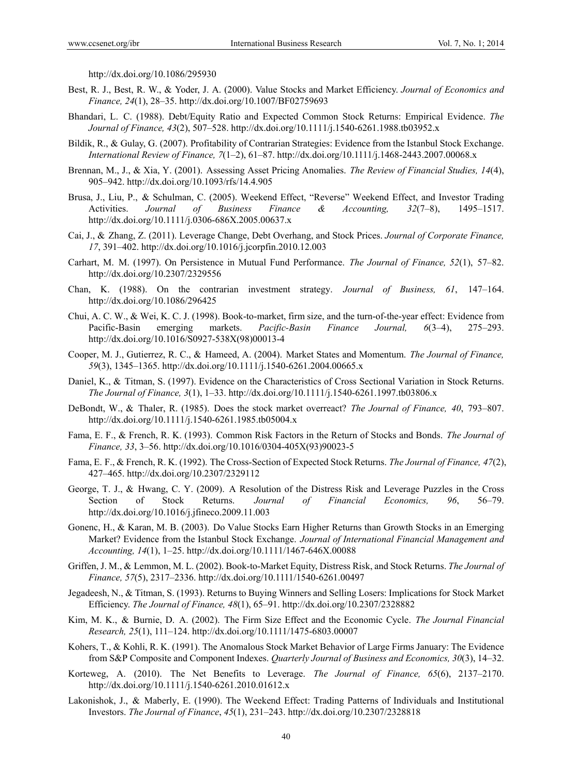http://dx.doi.org/10.1086/295930

- Best, R. J., Best, R. W., & Yoder, J. A. (2000). Value Stocks and Market Efficiency. *Journal of Economics and Finance, 24*(1), 28–35. http://dx.doi.org/10.1007/BF02759693
- Bhandari, L. C. (1988). Debt/Equity Ratio and Expected Common Stock Returns: Empirical Evidence. *The Journal of Finance, 43*(2), 507–528. http://dx.doi.org/10.1111/j.1540-6261.1988.tb03952.x
- Bildik, R., & Gulay, G. (2007). Profitability of Contrarian Strategies: Evidence from the Istanbul Stock Exchange. *International Review of Finance, 7*(1–2), 61–87. http://dx.doi.org/10.1111/j.1468-2443.2007.00068.x
- Brennan, M., J., & Xia, Y. (2001). Assessing Asset Pricing Anomalies. *The Review of Financial Studies, 14*(4), 905–942. http://dx.doi.org/10.1093/rfs/14.4.905
- Brusa, J., Liu, P., & Schulman, C. (2005). Weekend Effect, "Reverse" Weekend Effect, and Investor Trading Activities. *Journal of Business Finance & Accounting, 32*(7–8), 1495–1517. http://dx.doi.org/10.1111/j.0306-686X.2005.00637.x
- Cai, J., & Zhang, Z. (2011). Leverage Change, Debt Overhang, and Stock Prices. *Journal of Corporate Finance, 17*, 391–402. http://dx.doi.org/10.1016/j.jcorpfin.2010.12.003
- Carhart, M. M. (1997). On Persistence in Mutual Fund Performance. *The Journal of Finance, 52*(1), 57–82. http://dx.doi.org/10.2307/2329556
- Chan, K. (1988). On the contrarian investment strategy. *Journal of Business, 61*, 147–164. http://dx.doi.org/10.1086/296425
- Chui, A. C. W., & Wei, K. C. J. (1998). Book-to-market, firm size, and the turn-of-the-year effect: Evidence from Pacific-Basin emerging markets. *Pacific-Basin Finance Journal, 6*(3–4), 275–293. http://dx.doi.org/10.1016/S0927-538X(98)00013-4
- Cooper, M. J., Gutierrez, R. C., & Hameed, A. (2004). Market States and Momentum. *The Journal of Finance, 59*(3), 1345–1365. http://dx.doi.org/10.1111/j.1540-6261.2004.00665.x
- Daniel, K., & Titman, S. (1997). Evidence on the Characteristics of Cross Sectional Variation in Stock Returns. *The Journal of Finance, 3*(1), 1–33. http://dx.doi.org/10.1111/j.1540-6261.1997.tb03806.x
- DeBondt, W., & Thaler, R. (1985). Does the stock market overreact? *The Journal of Finance, 40*, 793–807. http://dx.doi.org/10.1111/j.1540-6261.1985.tb05004.x
- Fama, E. F., & French, R. K. (1993). Common Risk Factors in the Return of Stocks and Bonds. *The Journal of Finance, 33*, 3–56. http://dx.doi.org/10.1016/0304-405X(93)90023-5
- Fama, E. F., & French, R. K. (1992). The Cross-Section of Expected Stock Returns. *The Journal of Finance, 47*(2), 427–465. http://dx.doi.org/10.2307/2329112
- George, T. J., & Hwang, C. Y. (2009). A Resolution of the Distress Risk and Leverage Puzzles in the Cross Section of Stock Returns. *Journal of Financial Economics, 96*, 56–79. http://dx.doi.org/10.1016/j.jfineco.2009.11.003
- Gonenc, H., & Karan, M. B. (2003). Do Value Stocks Earn Higher Returns than Growth Stocks in an Emerging Market? Evidence from the Istanbul Stock Exchange. *Journal of International Financial Management and Accounting, 14*(1), 1–25. http://dx.doi.org/10.1111/1467-646X.00088
- Griffen, J. M., & Lemmon, M. L. (2002). Book-to-Market Equity, Distress Risk, and Stock Returns. *The Journal of Finance, 57*(5), 2317–2336. http://dx.doi.org/10.1111/1540-6261.00497
- Jegadeesh, N., & Titman, S. (1993). Returns to Buying Winners and Selling Losers: Implications for Stock Market Efficiency. *The Journal of Finance, 48*(1), 65–91. http://dx.doi.org/10.2307/2328882
- Kim, M. K., & Burnie, D. A. (2002). The Firm Size Effect and the Economic Cycle. *The Journal Financial Research, 25*(1), 111–124. http://dx.doi.org/10.1111/1475-6803.00007
- Kohers, T., & Kohli, R. K. (1991). The Anomalous Stock Market Behavior of Large Firms January: The Evidence from S&P Composite and Component Indexes. *Quarterly Journal of Business and Economics, 30*(3), 14–32.
- Korteweg, A. (2010). The Net Benefits to Leverage. *The Journal of Finance, 65*(6), 2137–2170. http://dx.doi.org/10.1111/j.1540-6261.2010.01612.x
- Lakonishok, J., & Maberly, E. (1990). The Weekend Effect: Trading Patterns of Individuals and Institutional Investors. *The Journal of Finance*, *45*(1), 231–243. http://dx.doi.org/10.2307/2328818